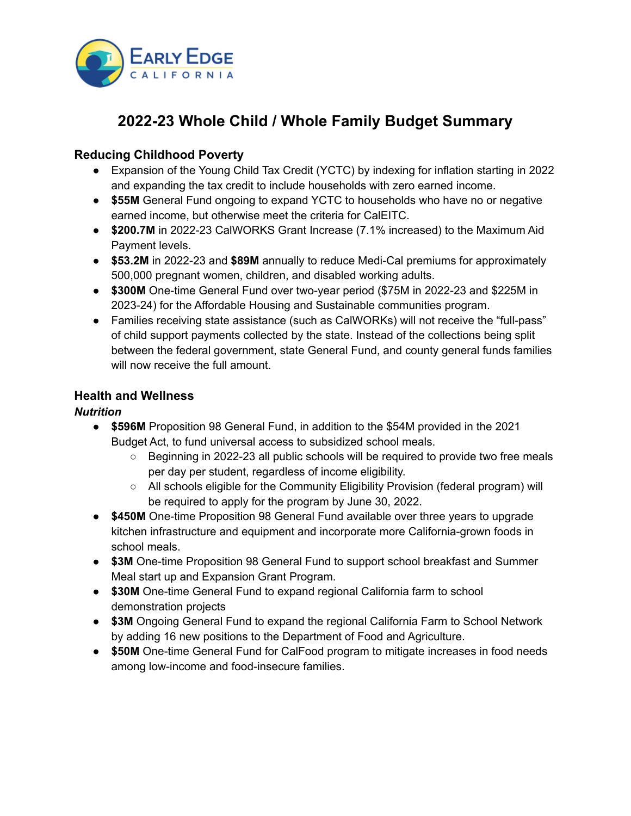

# **2022-23 Whole Child / Whole Family Budget Summary**

# **Reducing Childhood Poverty**

- Expansion of the Young Child Tax Credit (YCTC) by indexing for inflation starting in 2022 and expanding the tax credit to include households with zero earned income.
- **\$55M** General Fund ongoing to expand YCTC to households who have no or negative earned income, but otherwise meet the criteria for CalEITC.
- **\$200.7M** in 2022-23 CalWORKS Grant Increase (7.1% increased) to the Maximum Aid Payment levels.
- **\$53.2M** in 2022-23 and **\$89M** annually to reduce Medi-Cal premiums for approximately 500,000 pregnant women, children, and disabled working adults.
- **\$300M** One-time General Fund over two-year period (\$75M in 2022-23 and \$225M in 2023-24) for the Affordable Housing and Sustainable communities program.
- Families receiving state assistance (such as CalWORKs) will not receive the "full-pass" of child support payments collected by the state. Instead of the collections being split between the federal government, state General Fund, and county general funds families will now receive the full amount.

## **Health and Wellness**

## *Nutrition*

- **\$596M** Proposition 98 General Fund, in addition to the \$54M provided in the 2021 Budget Act, to fund universal access to subsidized school meals.
	- Beginning in 2022-23 all public schools will be required to provide two free meals per day per student, regardless of income eligibility.
	- All schools eligible for the Community Eligibility Provision (federal program) will be required to apply for the program by June 30, 2022.
- **\$450M** One-time Proposition 98 General Fund available over three years to upgrade kitchen infrastructure and equipment and incorporate more California-grown foods in school meals.
- **\$3M** One-time Proposition 98 General Fund to support school breakfast and Summer Meal start up and Expansion Grant Program.
- **\$30M** One-time General Fund to expand regional California farm to school demonstration projects
- **\$3M** Ongoing General Fund to expand the regional California Farm to School Network by adding 16 new positions to the Department of Food and Agriculture.
- **\$50M** One-time General Fund for CalFood program to mitigate increases in food needs among low-income and food-insecure families.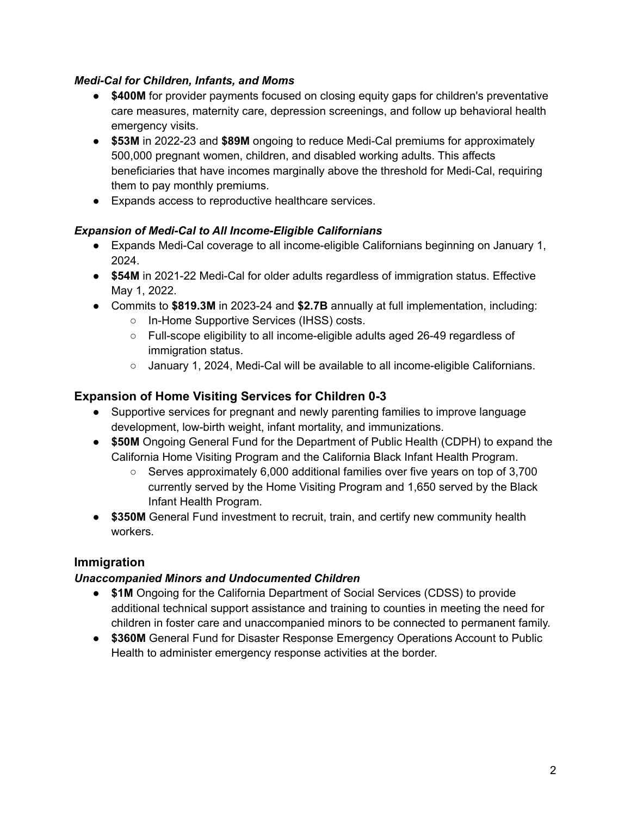## *Medi-Cal for Children, Infants, and Moms*

- **\$400M** for provider payments focused on closing equity gaps for children's preventative care measures, maternity care, depression screenings, and follow up behavioral health emergency visits.
- **\$53M** in 2022-23 and **\$89M** ongoing to reduce Medi-Cal premiums for approximately 500,000 pregnant women, children, and disabled working adults. This affects beneficiaries that have incomes marginally above the threshold for Medi-Cal, requiring them to pay monthly premiums.
- Expands access to reproductive healthcare services.

## *Expansion of Medi-Cal to All Income-Eligible Californians*

- Expands Medi-Cal coverage to all income-eligible Californians beginning on January 1, 2024.
- **\$54M** in 2021-22 Medi-Cal for older adults regardless of immigration status. Effective May 1, 2022.
- Commits to **\$819.3M** in 2023-24 and **\$2.7B** annually at full implementation, including:
	- In-Home Supportive Services (IHSS) costs.
	- Full-scope eligibility to all income-eligible adults aged 26-49 regardless of immigration status.
	- January 1, 2024, Medi-Cal will be available to all income-eligible Californians.

# **Expansion of Home Visiting Services for Children 0-3**

- Supportive services for pregnant and newly parenting families to improve language development, low-birth weight, infant mortality, and immunizations.
- **\$50M** Ongoing General Fund for the Department of Public Health (CDPH) to expand the California Home Visiting Program and the California Black Infant Health Program.
	- $\circ$  Serves approximately 6,000 additional families over five years on top of 3,700 currently served by the Home Visiting Program and 1,650 served by the Black Infant Health Program.
- **\$350M** General Fund investment to recruit, train, and certify new community health workers.

# **Immigration**

# *Unaccompanied Minors and Undocumented Children*

- **\$1M** Ongoing for the California Department of Social Services (CDSS) to provide additional technical support assistance and training to counties in meeting the need for children in foster care and unaccompanied minors to be connected to permanent family.
- **\$360M** General Fund for Disaster Response Emergency Operations Account to Public Health to administer emergency response activities at the border.